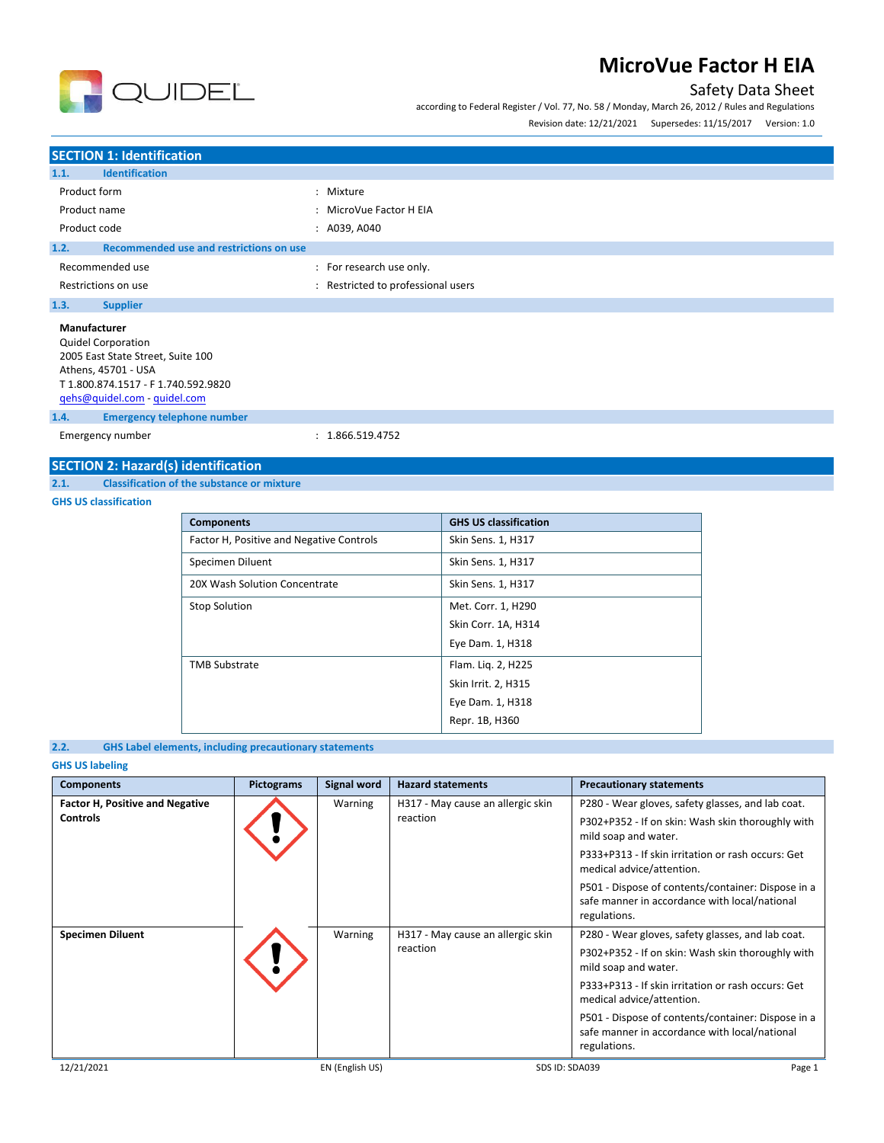### Safety Data Sheet

according to Federal Register / Vol. 77, No. 58 / Monday, March 26, 2012 / Rules and Regulations Revision date: 12/21/2021 Supersedes: 11/15/2017 Version: 1.0



# **SECTION 1: Identification**

**QUIDEL** 

| <b>SECTION 4. REGISTIVALION</b>                                                                                                                                              |                                  |
|------------------------------------------------------------------------------------------------------------------------------------------------------------------------------|----------------------------------|
| <b>Identification</b><br>1.1.                                                                                                                                                |                                  |
| Product form                                                                                                                                                                 | : Mixture                        |
| Product name                                                                                                                                                                 | : MicroVue Factor H EIA          |
| Product code                                                                                                                                                                 | : A039, A040                     |
| Recommended use and restrictions on use<br>1.2.                                                                                                                              |                                  |
| Recommended use                                                                                                                                                              | : For research use only.         |
| Restrictions on use                                                                                                                                                          | Restricted to professional users |
| 1.3.<br><b>Supplier</b>                                                                                                                                                      |                                  |
| Manufacturer<br><b>Quidel Corporation</b><br>2005 East State Street, Suite 100<br>Athens, 45701 - USA<br>T 1.800.874.1517 - F 1.740.592.9820<br>qehs@quidel.com - quidel.com |                                  |
| <b>Emergency telephone number</b><br>1.4.                                                                                                                                    |                                  |
| Emergency number                                                                                                                                                             | : 1.866.519.4752                 |

### **SECTION 2: Hazard(s) identification**

#### **2.1. Classification of the substance or mixture**

**GHS US classification**

| <b>Components</b>                        | <b>GHS US classification</b> |
|------------------------------------------|------------------------------|
| Factor H, Positive and Negative Controls | Skin Sens. 1, H317           |
| Specimen Diluent                         | Skin Sens. 1, H317           |
| 20X Wash Solution Concentrate            | Skin Sens. 1, H317           |
| <b>Stop Solution</b>                     | Met. Corr. 1, H290           |
|                                          | Skin Corr. 1A, H314          |
|                                          | Eye Dam. 1, H318             |
| <b>TMB Substrate</b>                     | Flam. Lig. 2, H225           |
|                                          | Skin Irrit. 2, H315          |
|                                          | Eye Dam. 1, H318             |
|                                          | Repr. 1B, H360               |

### **2.2. GHS Label elements, including precautionary statements**

### **GHS US labeling**

| <b>Components</b>                      | <b>Pictograms</b> | Signal word     | <b>Hazard statements</b>                      | <b>Precautionary statements</b>                                                                                     |
|----------------------------------------|-------------------|-----------------|-----------------------------------------------|---------------------------------------------------------------------------------------------------------------------|
| <b>Factor H, Positive and Negative</b> |                   | Warning         | H317 - May cause an allergic skin             | P280 - Wear gloves, safety glasses, and lab coat.                                                                   |
| <b>Controls</b>                        |                   |                 | reaction                                      | P302+P352 - If on skin: Wash skin thoroughly with<br>mild soap and water.                                           |
|                                        |                   |                 |                                               | P333+P313 - If skin irritation or rash occurs: Get<br>medical advice/attention.                                     |
|                                        |                   |                 |                                               | P501 - Dispose of contents/container: Dispose in a<br>safe manner in accordance with local/national<br>regulations. |
| <b>Specimen Diluent</b>                |                   | Warning         | H317 - May cause an allergic skin<br>reaction | P280 - Wear gloves, safety glasses, and lab coat.                                                                   |
|                                        |                   |                 |                                               | P302+P352 - If on skin: Wash skin thoroughly with<br>mild soap and water.                                           |
|                                        |                   |                 |                                               | P333+P313 - If skin irritation or rash occurs: Get<br>medical advice/attention.                                     |
|                                        |                   |                 |                                               | P501 - Dispose of contents/container: Dispose in a<br>safe manner in accordance with local/national<br>regulations. |
| 12/21/2021                             |                   | EN (English US) | SDS ID: SDA039                                | Page 1                                                                                                              |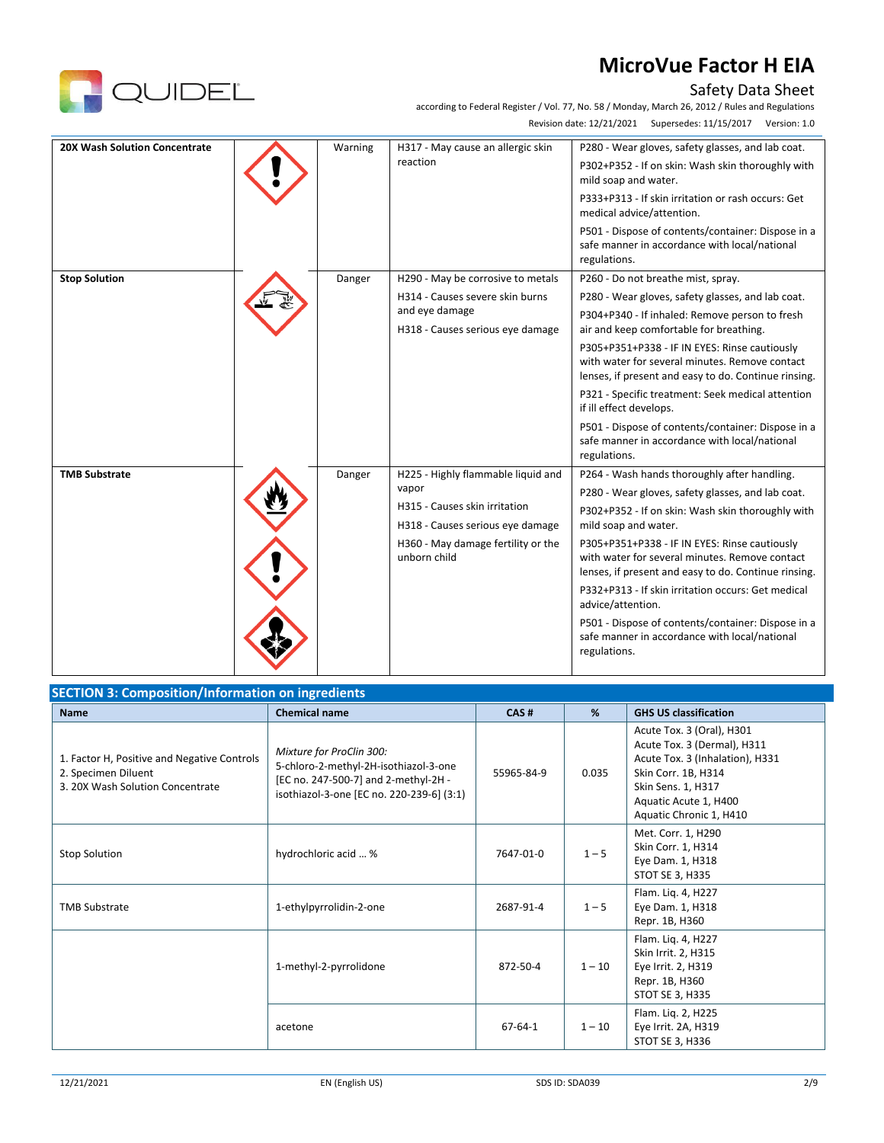



according to Federal Register / Vol. 77, No. 58 / Monday, March 26, 2012 / Rules and Regulations Revision date: 12/21/2021 Supersedes: 11/15/2017 Version: 1.0

| <b>20X Wash Solution Concentrate</b> | Warning | H317 - May cause an allergic skin<br>reaction                     | P280 - Wear gloves, safety glasses, and lab coat.<br>P302+P352 - If on skin: Wash skin thoroughly with<br>mild soap and water.                          |
|--------------------------------------|---------|-------------------------------------------------------------------|---------------------------------------------------------------------------------------------------------------------------------------------------------|
|                                      |         |                                                                   | P333+P313 - If skin irritation or rash occurs: Get<br>medical advice/attention.                                                                         |
|                                      |         |                                                                   | P501 - Dispose of contents/container: Dispose in a<br>safe manner in accordance with local/national<br>regulations.                                     |
| <b>Stop Solution</b>                 | Danger  | H290 - May be corrosive to metals                                 | P260 - Do not breathe mist, spray.                                                                                                                      |
|                                      |         | H314 - Causes severe skin burns                                   | P280 - Wear gloves, safety glasses, and lab coat.                                                                                                       |
|                                      |         | and eye damage<br>H318 - Causes serious eye damage                | P304+P340 - If inhaled: Remove person to fresh<br>air and keep comfortable for breathing.                                                               |
|                                      |         |                                                                   | P305+P351+P338 - IF IN EYES: Rinse cautiously<br>with water for several minutes. Remove contact<br>lenses, if present and easy to do. Continue rinsing. |
|                                      |         |                                                                   | P321 - Specific treatment: Seek medical attention<br>if ill effect develops.                                                                            |
|                                      |         |                                                                   | P501 - Dispose of contents/container: Dispose in a<br>safe manner in accordance with local/national<br>regulations.                                     |
| <b>TMB Substrate</b>                 | Danger  | H225 - Highly flammable liquid and                                | P264 - Wash hands thoroughly after handling.                                                                                                            |
|                                      |         | vapor                                                             | P280 - Wear gloves, safety glasses, and lab coat.                                                                                                       |
|                                      |         | H315 - Causes skin irritation<br>H318 - Causes serious eye damage | P302+P352 - If on skin: Wash skin thoroughly with<br>mild soap and water.                                                                               |
|                                      |         | H360 - May damage fertility or the<br>unborn child                | P305+P351+P338 - IF IN EYES: Rinse cautiously<br>with water for several minutes. Remove contact<br>lenses, if present and easy to do. Continue rinsing. |
|                                      |         |                                                                   | P332+P313 - If skin irritation occurs: Get medical<br>advice/attention.                                                                                 |
|                                      |         |                                                                   | P501 - Dispose of contents/container: Dispose in a<br>safe manner in accordance with local/national<br>regulations.                                     |

| <b>SECTION 3: Composition/Information on ingredients</b>                                               |                                                                                                                                                        |               |          |                                                                                                                                                                                              |  |  |  |
|--------------------------------------------------------------------------------------------------------|--------------------------------------------------------------------------------------------------------------------------------------------------------|---------------|----------|----------------------------------------------------------------------------------------------------------------------------------------------------------------------------------------------|--|--|--|
| <b>Name</b>                                                                                            | <b>Chemical name</b>                                                                                                                                   | CAS#          | %        | <b>GHS US classification</b>                                                                                                                                                                 |  |  |  |
| 1. Factor H, Positive and Negative Controls<br>2. Specimen Diluent<br>3. 20X Wash Solution Concentrate | Mixture for ProClin 300:<br>5-chloro-2-methyl-2H-isothiazol-3-one<br>[EC no. 247-500-7] and 2-methyl-2H -<br>isothiazol-3-one [EC no. 220-239-6] (3:1) | 55965-84-9    | 0.035    | Acute Tox. 3 (Oral), H301<br>Acute Tox. 3 (Dermal), H311<br>Acute Tox. 3 (Inhalation), H331<br>Skin Corr. 1B, H314<br>Skin Sens. 1, H317<br>Aquatic Acute 1, H400<br>Aquatic Chronic 1, H410 |  |  |  |
| <b>Stop Solution</b>                                                                                   | hydrochloric acid  %                                                                                                                                   | 7647-01-0     | $1 - 5$  | Met. Corr. 1, H290<br>Skin Corr. 1, H314<br>Eye Dam. 1, H318<br>STOT SE 3, H335                                                                                                              |  |  |  |
| <b>TMB Substrate</b>                                                                                   | 1-ethylpyrrolidin-2-one                                                                                                                                | 2687-91-4     | $1 - 5$  | Flam. Liq. 4, H227<br>Eye Dam. 1, H318<br>Repr. 1B, H360                                                                                                                                     |  |  |  |
|                                                                                                        | 1-methyl-2-pyrrolidone                                                                                                                                 | 872-50-4      | $1 - 10$ | Flam. Liq. 4, H227<br>Skin Irrit. 2, H315<br>Eye Irrit. 2, H319<br>Repr. 1B, H360<br>STOT SE 3, H335                                                                                         |  |  |  |
|                                                                                                        | acetone                                                                                                                                                | $67 - 64 - 1$ | $1 - 10$ | Flam. Liq. 2, H225<br>Eye Irrit. 2A, H319<br>STOT SE 3, H336                                                                                                                                 |  |  |  |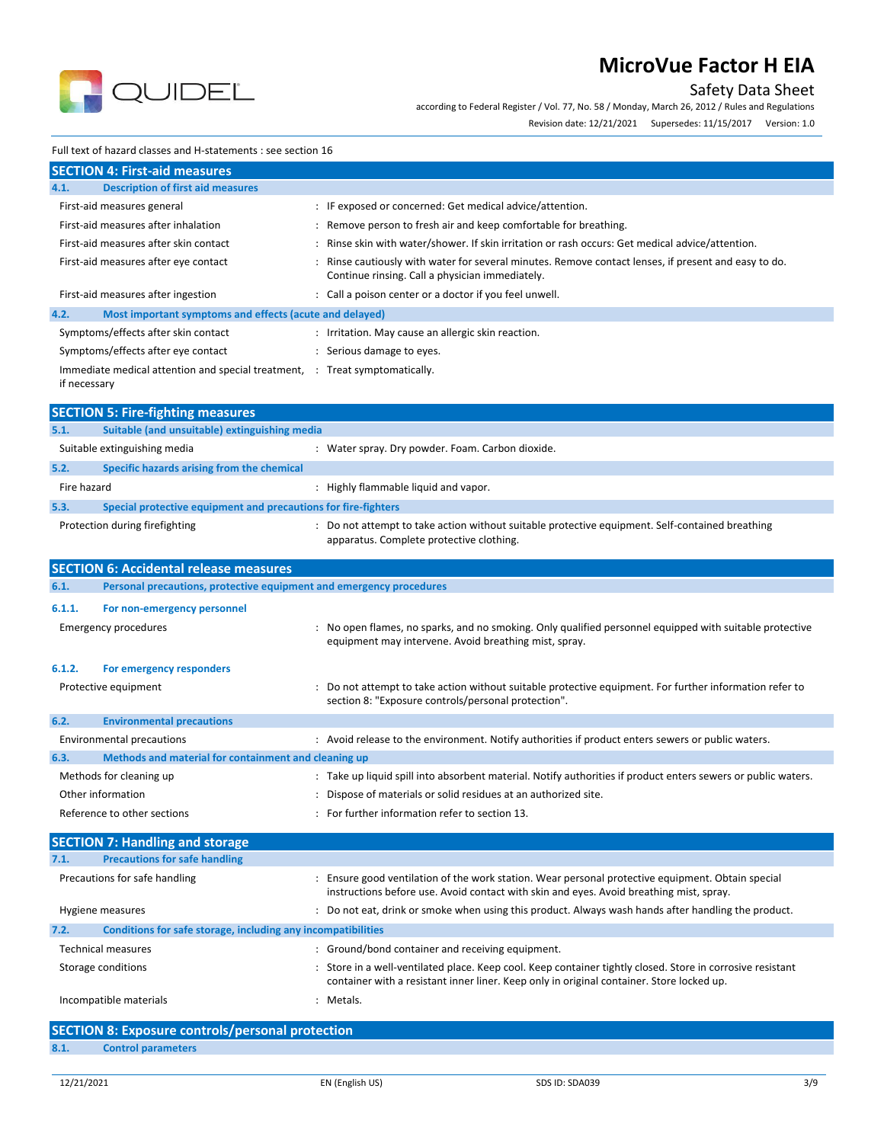

### Safety Data Sheet

according to Federal Register / Vol. 77, No. 58 / Monday, March 26, 2012 / Rules and Regulations

Revision date: 12/21/2021 Supersedes: 11/15/2017 Version: 1.0

#### Full text of hazard classes and H-statements : see section 16

| <b>SECTION 4: First-aid measures</b>                                 |                                                                                                                                                       |  |  |  |
|----------------------------------------------------------------------|-------------------------------------------------------------------------------------------------------------------------------------------------------|--|--|--|
| <b>Description of first aid measures</b><br>4.1.                     |                                                                                                                                                       |  |  |  |
| First-aid measures general                                           | : IF exposed or concerned: Get medical advice/attention.                                                                                              |  |  |  |
| First-aid measures after inhalation                                  | : Remove person to fresh air and keep comfortable for breathing.                                                                                      |  |  |  |
| First-aid measures after skin contact                                | Rinse skin with water/shower. If skin irritation or rash occurs: Get medical advice/attention.                                                        |  |  |  |
| First-aid measures after eye contact                                 | Rinse cautiously with water for several minutes. Remove contact lenses, if present and easy to do.<br>Continue rinsing. Call a physician immediately. |  |  |  |
| First-aid measures after ingestion                                   | : Call a poison center or a doctor if you feel unwell.                                                                                                |  |  |  |
| Most important symptoms and effects (acute and delayed)<br>4.2.      |                                                                                                                                                       |  |  |  |
| Symptoms/effects after skin contact                                  | : Irritation. May cause an allergic skin reaction.                                                                                                    |  |  |  |
| Symptoms/effects after eye contact                                   | : Serious damage to eyes.                                                                                                                             |  |  |  |
| Immediate medical attention and special treatment, :<br>if necessary | Treat symptomatically.                                                                                                                                |  |  |  |
| <b>SECTION 5: Fire-fighting measures</b>                             |                                                                                                                                                       |  |  |  |

|             | <b>PLUTION 9. FILE TIRINIIIR INCOSULES</b>                     |  |                                                                                                                                           |  |  |
|-------------|----------------------------------------------------------------|--|-------------------------------------------------------------------------------------------------------------------------------------------|--|--|
| 5.1.        | Suitable (and unsuitable) extinguishing media                  |  |                                                                                                                                           |  |  |
|             | Suitable extinguishing media                                   |  | Water spray. Dry powder. Foam. Carbon dioxide.                                                                                            |  |  |
| 5.2.        | Specific hazards arising from the chemical                     |  |                                                                                                                                           |  |  |
| Fire hazard |                                                                |  | Highly flammable liquid and vapor.                                                                                                        |  |  |
| 5.3.        | Special protective equipment and precautions for fire-fighters |  |                                                                                                                                           |  |  |
|             | Protection during firefighting                                 |  | Do not attempt to take action without suitable protective equipment. Self-contained breathing<br>apparatus. Complete protective clothing. |  |  |

|                           | <b>SECTION 6: Accidental release measures</b>                       |  |                                                                                                                                                                                                       |  |  |  |
|---------------------------|---------------------------------------------------------------------|--|-------------------------------------------------------------------------------------------------------------------------------------------------------------------------------------------------------|--|--|--|
| 6.1.                      | Personal precautions, protective equipment and emergency procedures |  |                                                                                                                                                                                                       |  |  |  |
| 6.1.1.                    | For non-emergency personnel<br><b>Emergency procedures</b>          |  | No open flames, no sparks, and no smoking. Only qualified personnel equipped with suitable protective<br>equipment may intervene. Avoid breathing mist, spray.                                        |  |  |  |
| 6.1.2.                    | For emergency responders                                            |  |                                                                                                                                                                                                       |  |  |  |
|                           | Protective equipment                                                |  | Do not attempt to take action without suitable protective equipment. For further information refer to<br>section 8: "Exposure controls/personal protection".                                          |  |  |  |
| 6.2.                      | <b>Environmental precautions</b>                                    |  |                                                                                                                                                                                                       |  |  |  |
|                           | <b>Environmental precautions</b>                                    |  | : Avoid release to the environment. Notify authorities if product enters sewers or public waters.                                                                                                     |  |  |  |
| 6.3.                      | Methods and material for containment and cleaning up                |  |                                                                                                                                                                                                       |  |  |  |
|                           | Methods for cleaning up                                             |  | : Take up liquid spill into absorbent material. Notify authorities if product enters sewers or public waters.                                                                                         |  |  |  |
|                           | Other information                                                   |  | Dispose of materials or solid residues at an authorized site.                                                                                                                                         |  |  |  |
|                           | Reference to other sections                                         |  | For further information refer to section 13.                                                                                                                                                          |  |  |  |
|                           | <b>SECTION 7: Handling and storage</b>                              |  |                                                                                                                                                                                                       |  |  |  |
| 7.1.                      | <b>Precautions for safe handling</b>                                |  |                                                                                                                                                                                                       |  |  |  |
|                           | Precautions for safe handling                                       |  | Ensure good ventilation of the work station. Wear personal protective equipment. Obtain special<br>instructions before use. Avoid contact with skin and eyes. Avoid breathing mist, spray.            |  |  |  |
|                           | Hygiene measures                                                    |  | Do not eat, drink or smoke when using this product. Always wash hands after handling the product.                                                                                                     |  |  |  |
| 7.2.                      | Conditions for safe storage, including any incompatibilities        |  |                                                                                                                                                                                                       |  |  |  |
| <b>Technical measures</b> |                                                                     |  | : Ground/bond container and receiving equipment.                                                                                                                                                      |  |  |  |
| Storage conditions        |                                                                     |  | Store in a well-ventilated place. Keep cool. Keep container tightly closed. Store in corrosive resistant<br>container with a resistant inner liner. Keep only in original container. Store locked up. |  |  |  |
|                           | Incompatible materials<br>Metals.                                   |  |                                                                                                                                                                                                       |  |  |  |
|                           | CECTION O. Evangura controls/norsonal protection                    |  |                                                                                                                                                                                                       |  |  |  |

|      | <b>SECTION 8: Exposure controls/personal protection</b> |
|------|---------------------------------------------------------|
| 8.1. | <b>Control parameters</b>                               |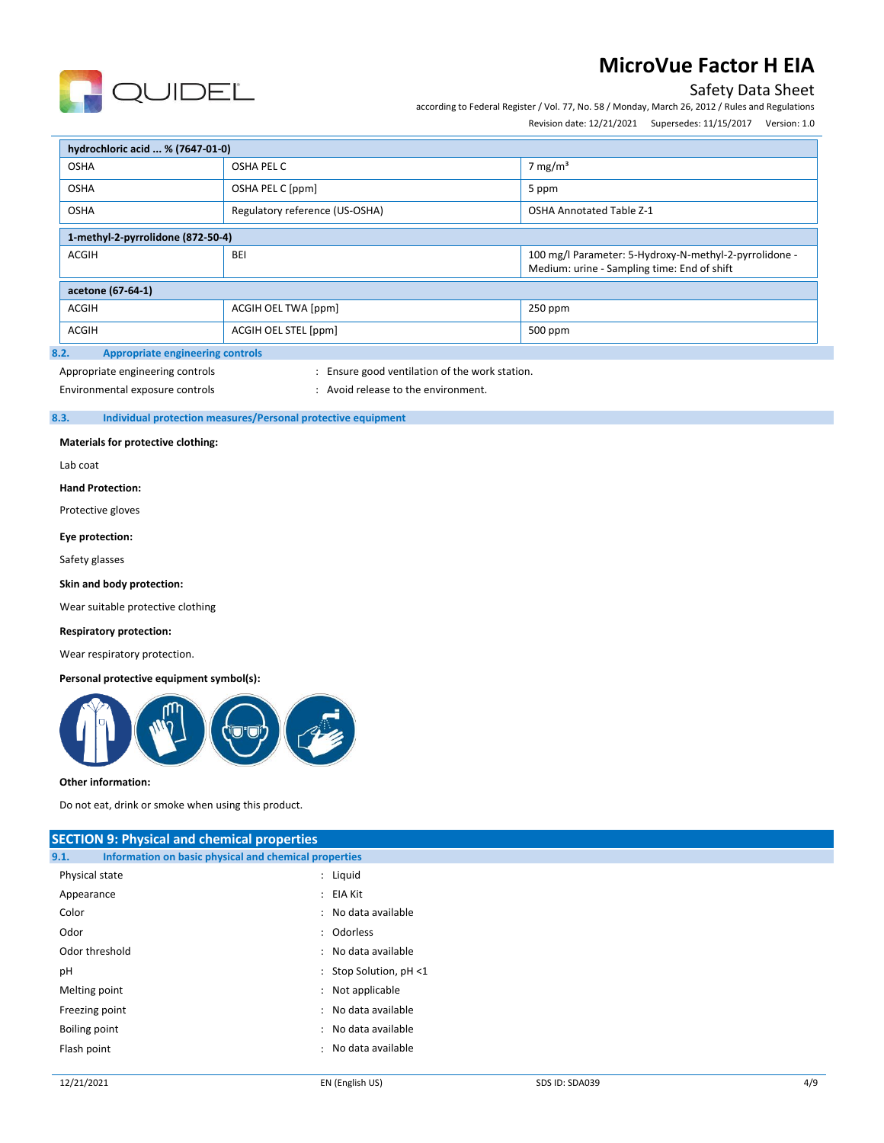

### Safety Data Sheet

according to Federal Register / Vol. 77, No. 58 / Monday, March 26, 2012 / Rules and Regulations

Revision date: 12/21/2021 Supersedes: 11/15/2017 Version: 1.0

| hydrochloric acid  % (7647-01-0)                |                                 |                                                                                                       |  |  |  |  |  |
|-------------------------------------------------|---------------------------------|-------------------------------------------------------------------------------------------------------|--|--|--|--|--|
| <b>OSHA</b>                                     | OSHA PEL C                      | 7 mg/m <sup>3</sup>                                                                                   |  |  |  |  |  |
| <b>OSHA</b>                                     | OSHA PEL C [ppm]                | 5 ppm                                                                                                 |  |  |  |  |  |
| <b>OSHA</b>                                     | <b>OSHA Annotated Table Z-1</b> |                                                                                                       |  |  |  |  |  |
| 1-methyl-2-pyrrolidone (872-50-4)               |                                 |                                                                                                       |  |  |  |  |  |
| <b>ACGIH</b><br><b>BEI</b>                      |                                 | 100 mg/l Parameter: 5-Hydroxy-N-methyl-2-pyrrolidone -<br>Medium: urine - Sampling time: End of shift |  |  |  |  |  |
| acetone (67-64-1)                               |                                 |                                                                                                       |  |  |  |  |  |
| <b>ACGIH</b><br>ACGIH OEL TWA [ppm]             |                                 | 250 ppm                                                                                               |  |  |  |  |  |
| <b>ACGIH</b>                                    | ACGIH OEL STEL [ppm]            | 500 ppm                                                                                               |  |  |  |  |  |
| 3.2.<br><b>Appropriate engineering controls</b> |                                 |                                                                                                       |  |  |  |  |  |

## Appropriate engineering controls **interpretent controls** : Ensure good ventilation of the work station.

Environmental exposure controls  $\cdot$  : Avoid release to the environment.

### **8.3. Individual protection measures/Personal protective equipment**

#### **Materials for protective clothing:**

Lab coat

#### **Hand Protection:**

Protective gloves

#### **Eye protection:**

Safety glasses

#### **Skin and body protection:**

Wear suitable protective clothing

#### **Respiratory protection:**

Wear respiratory protection.

#### **Personal protective equipment symbol(s):**



#### **Other information:**

Do not eat, drink or smoke when using this product.

| <b>SECTION 9: Physical and chemical properties</b>            |                        |  |  |  |  |  |
|---------------------------------------------------------------|------------------------|--|--|--|--|--|
| Information on basic physical and chemical properties<br>9.1. |                        |  |  |  |  |  |
| Physical state                                                | : Liquid               |  |  |  |  |  |
| Appearance                                                    | : EIA Kit              |  |  |  |  |  |
| Color                                                         | : No data available    |  |  |  |  |  |
| Odor                                                          | : Odorless             |  |  |  |  |  |
| Odor threshold                                                | : No data available    |  |  |  |  |  |
| pH                                                            | : Stop Solution, pH <1 |  |  |  |  |  |
| Melting point                                                 | : Not applicable       |  |  |  |  |  |
| Freezing point                                                | : No data available    |  |  |  |  |  |
| Boiling point                                                 | : No data available    |  |  |  |  |  |
| Flash point                                                   | : No data available    |  |  |  |  |  |
|                                                               |                        |  |  |  |  |  |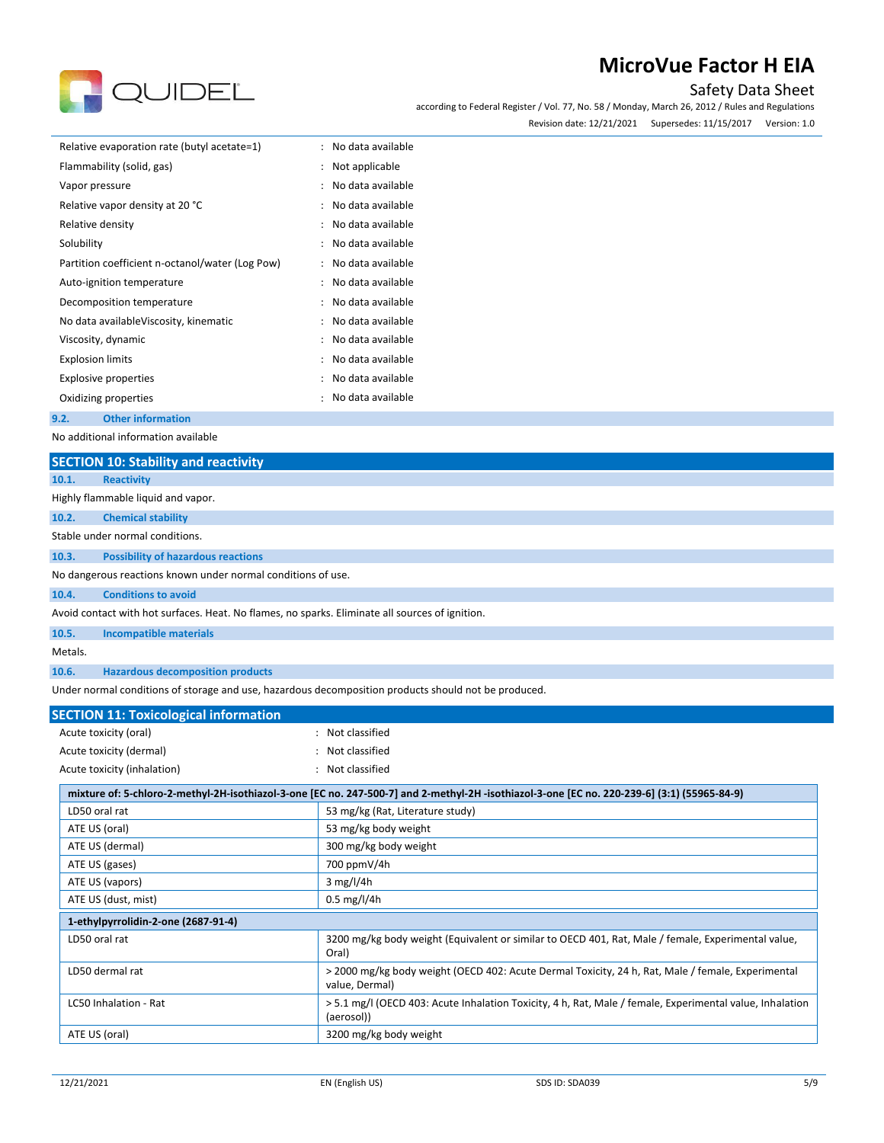

Safety Data Sheet

according to Federal Register / Vol. 77, No. 58 / Monday, March 26, 2012 / Rules and Regulations Revision date: 12/21/2021 Supersedes: 11/15/2017 Version: 1.0

| Relative evaporation rate (butyl acetate=1)     | : No data available |
|-------------------------------------------------|---------------------|
| Flammability (solid, gas)                       | : Not applicable    |
| Vapor pressure                                  | : No data available |
| Relative vapor density at 20 °C                 | : No data available |
| Relative density                                | : No data available |
| Solubility                                      | : No data available |
| Partition coefficient n-octanol/water (Log Pow) | : No data available |
| Auto-ignition temperature                       | : No data available |
| Decomposition temperature                       | : No data available |
| No data available Viscosity, kinematic          | : No data available |
| Viscosity, dynamic                              | : No data available |
| <b>Explosion limits</b>                         | : No data available |
| Explosive properties                            | : No data available |
| Oxidizing properties                            | : No data available |
| <b>Other information</b><br>9.2.                |                     |

No additional information available

| <u>tio auuttuttai illioittiation avallable</u> |  |
|------------------------------------------------|--|
| SECTION 10: Stability and reactivity           |  |

|         | <b>SECTION ID: Stability and reactivity</b>                                                          |
|---------|------------------------------------------------------------------------------------------------------|
| 10.1.   | <b>Reactivity</b>                                                                                    |
|         | Highly flammable liquid and vapor.                                                                   |
| 10.2.   | <b>Chemical stability</b>                                                                            |
|         | Stable under normal conditions.                                                                      |
| 10.3.   | <b>Possibility of hazardous reactions</b>                                                            |
|         | No dangerous reactions known under normal conditions of use.                                         |
| 10.4.   | <b>Conditions to avoid</b>                                                                           |
|         | Avoid contact with hot surfaces. Heat. No flames, no sparks. Eliminate all sources of ignition.      |
| 10.5.   | <b>Incompatible materials</b>                                                                        |
| Metals. |                                                                                                      |
| 10.6.   | <b>Hazardous decomposition products</b>                                                              |
|         | Under normal conditions of storage and use, hazardous decomposition products should not be produced. |

| <b>SECTION 11: Toxicological information</b> |                                                                                                                                             |
|----------------------------------------------|---------------------------------------------------------------------------------------------------------------------------------------------|
| Acute toxicity (oral)                        | : Not classified                                                                                                                            |
| Acute toxicity (dermal)                      | : Not classified                                                                                                                            |
| Acute toxicity (inhalation)                  | : Not classified                                                                                                                            |
|                                              | mixture of: 5-chloro-2-methyl-2H-isothiazol-3-one [EC no. 247-500-7] and 2-methyl-2H-isothiazol-3-one [EC no. 220-239-6] (3:1) (55965-84-9) |
| LD50 oral rat                                | 53 mg/kg (Rat, Literature study)                                                                                                            |
| ATE US (oral)                                | 53 mg/kg body weight                                                                                                                        |
| ATE US (dermal)                              | 300 mg/kg body weight                                                                                                                       |
| ATE US (gases)                               | 700 ppmV/4h                                                                                                                                 |
| ATE US (vapors)                              | $3$ mg/l/4h                                                                                                                                 |
| ATE US (dust, mist)                          | $0.5 \,\mathrm{mg}/l/4h$                                                                                                                    |
| 1-ethylpyrrolidin-2-one (2687-91-4)          |                                                                                                                                             |
| LD50 oral rat                                | 3200 mg/kg body weight (Equivalent or similar to OECD 401, Rat, Male / female, Experimental value,<br>Oral)                                 |
| LD50 dermal rat                              | > 2000 mg/kg body weight (OECD 402: Acute Dermal Toxicity, 24 h, Rat, Male / female, Experimental<br>value, Dermal)                         |
| LC50 Inhalation - Rat                        | > 5.1 mg/l (OECD 403: Acute Inhalation Toxicity, 4 h, Rat, Male / female, Experimental value, Inhalation<br>(aerosol))                      |
| ATE US (oral)                                | 3200 mg/kg body weight                                                                                                                      |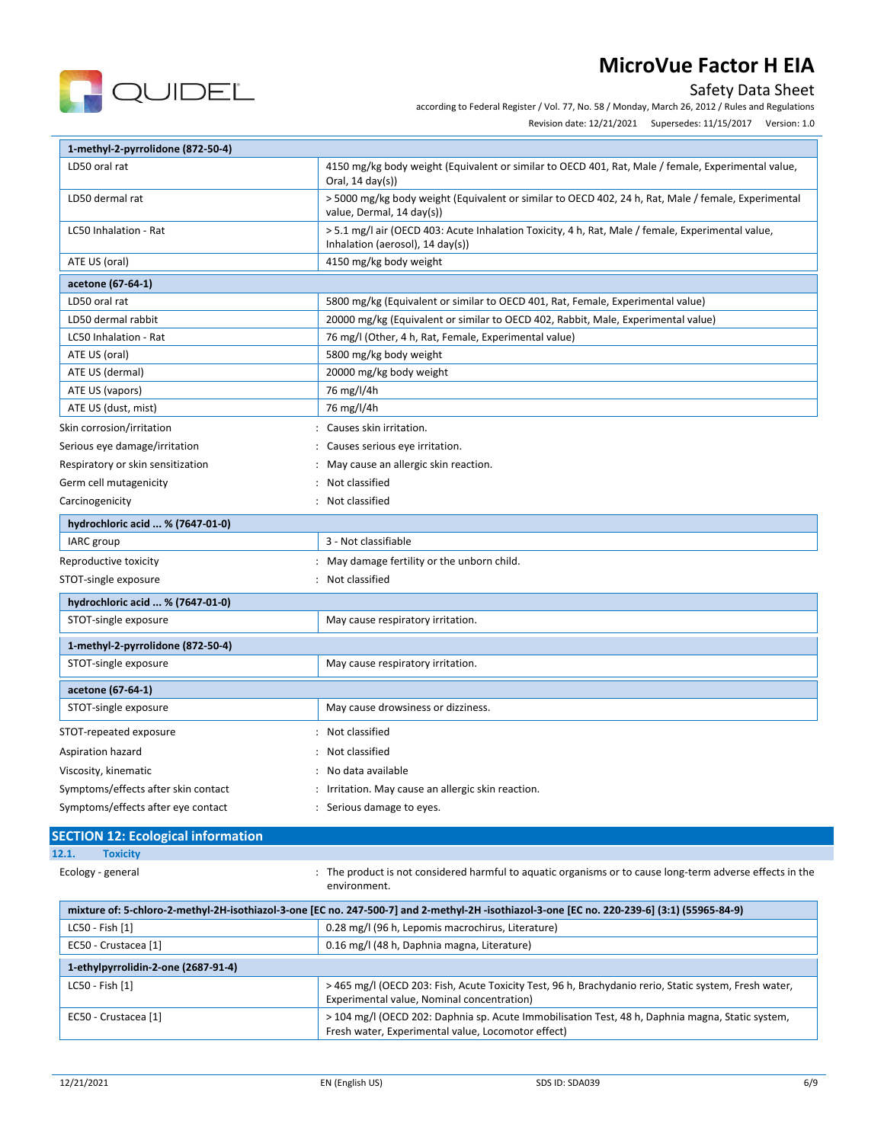

Safety Data Sheet

according to Federal Register / Vol. 77, No. 58 / Monday, March 26, 2012 / Rules and Regulations

Revision date: 12/21/2021 Supersedes: 11/15/2017 Version: 1.0

| 1-methyl-2-pyrrolidone (872-50-4)           |                                                                                                                                                  |
|---------------------------------------------|--------------------------------------------------------------------------------------------------------------------------------------------------|
| LD50 oral rat                               | 4150 mg/kg body weight (Equivalent or similar to OECD 401, Rat, Male / female, Experimental value,<br>Oral, $14 \text{ day}(s)$                  |
| LD50 dermal rat                             | > 5000 mg/kg body weight (Equivalent or similar to OECD 402, 24 h, Rat, Male / female, Experimental<br>value, Dermal, 14 day(s))                 |
| LC50 Inhalation - Rat                       | > 5.1 mg/l air (OECD 403: Acute Inhalation Toxicity, 4 h, Rat, Male / female, Experimental value,<br>Inhalation (aerosol), $14 \text{ day}(s)$ ) |
| ATE US (oral)                               | 4150 mg/kg body weight                                                                                                                           |
| acetone (67-64-1)                           |                                                                                                                                                  |
| LD50 oral rat                               | 5800 mg/kg (Equivalent or similar to OECD 401, Rat, Female, Experimental value)                                                                  |
| LD50 dermal rabbit                          | 20000 mg/kg (Equivalent or similar to OECD 402, Rabbit, Male, Experimental value)                                                                |
| LC50 Inhalation - Rat                       | 76 mg/l (Other, 4 h, Rat, Female, Experimental value)                                                                                            |
| ATE US (oral)                               | 5800 mg/kg body weight                                                                                                                           |
| ATE US (dermal)                             | 20000 mg/kg body weight                                                                                                                          |
| ATE US (vapors)                             | 76 mg/l/4h                                                                                                                                       |
| ATE US (dust, mist)                         | 76 mg/l/4h                                                                                                                                       |
| Skin corrosion/irritation                   | : Causes skin irritation.                                                                                                                        |
| Serious eye damage/irritation               | Causes serious eye irritation.                                                                                                                   |
| Respiratory or skin sensitization           | May cause an allergic skin reaction.                                                                                                             |
| Germ cell mutagenicity                      | Not classified                                                                                                                                   |
| Carcinogenicity<br>$\overline{\phantom{a}}$ | Not classified                                                                                                                                   |
| hydrochloric acid  % (7647-01-0)            |                                                                                                                                                  |
| IARC group                                  | 3 - Not classifiable                                                                                                                             |
| Reproductive toxicity                       | May damage fertility or the unborn child.                                                                                                        |
| STOT-single exposure                        | Not classified                                                                                                                                   |
| hydrochloric acid  % (7647-01-0)            |                                                                                                                                                  |
| STOT-single exposure                        | May cause respiratory irritation.                                                                                                                |
| 1-methyl-2-pyrrolidone (872-50-4)           |                                                                                                                                                  |
| STOT-single exposure                        | May cause respiratory irritation.                                                                                                                |
| acetone (67-64-1)                           |                                                                                                                                                  |
| STOT-single exposure                        | May cause drowsiness or dizziness.                                                                                                               |
| STOT-repeated exposure                      | Not classified                                                                                                                                   |
| Aspiration hazard                           | Not classified                                                                                                                                   |
| Viscosity, kinematic                        | No data available                                                                                                                                |
| Symptoms/effects after skin contact         | Irritation. May cause an allergic skin reaction.                                                                                                 |
| Symptoms/effects after eye contact          | : Serious damage to eyes.                                                                                                                        |

### **SECTION 12: Ecological information 12.1. Toxicity**

Ecology - general **interproduct is not considered harmful to aquatic organisms or to cause long-term adverse effects in the** environment.

| mixture of: 5-chloro-2-methyl-2H-isothiazol-3-one [EC no. 247-500-7] and 2-methyl-2H-isothiazol-3-one [EC no. 220-239-6] (3:1) (55965-84-9) |                                                                                                                                                        |  |
|---------------------------------------------------------------------------------------------------------------------------------------------|--------------------------------------------------------------------------------------------------------------------------------------------------------|--|
| LC50 - Fish [1]                                                                                                                             | 0.28 mg/l (96 h, Lepomis macrochirus, Literature)                                                                                                      |  |
| EC50 - Crustacea [1]                                                                                                                        | 0.16 mg/l (48 h, Daphnia magna, Literature)                                                                                                            |  |
| 1-ethylpyrrolidin-2-one (2687-91-4)                                                                                                         |                                                                                                                                                        |  |
| LC50 - Fish [1]                                                                                                                             | > 465 mg/l (OECD 203: Fish, Acute Toxicity Test, 96 h, Brachydanio rerio, Static system, Fresh water,<br>Experimental value, Nominal concentration)    |  |
| EC50 - Crustacea [1]                                                                                                                        | > 104 mg/l (OECD 202: Daphnia sp. Acute Immobilisation Test, 48 h, Daphnia magna, Static system,<br>Fresh water, Experimental value, Locomotor effect) |  |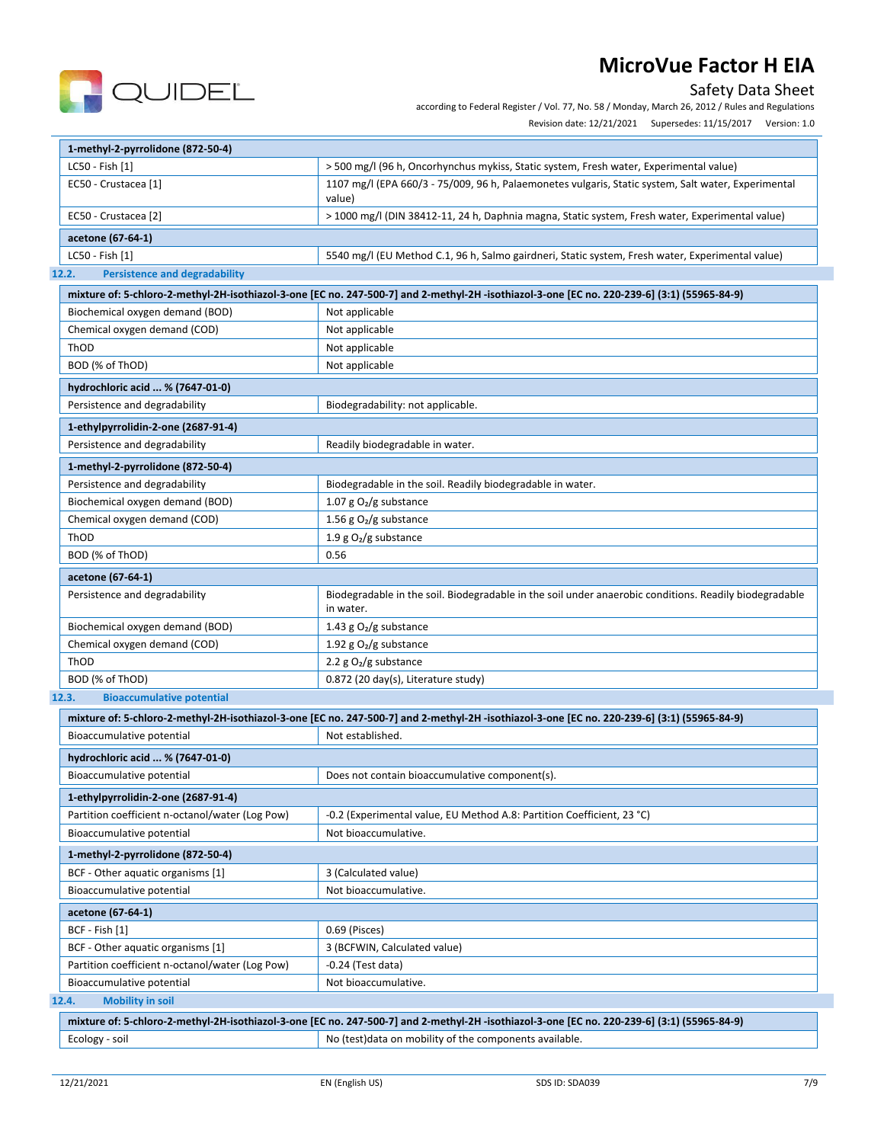



according to Federal Register / Vol. 77, No. 58 / Monday, March 26, 2012 / Rules and Regulations

Revision date: 12/21/2021 Supersedes: 11/15/2017 Version: 1.0

| 1-methyl-2-pyrrolidone (872-50-4)                                    |                                                                                                                                              |
|----------------------------------------------------------------------|----------------------------------------------------------------------------------------------------------------------------------------------|
| LC50 - Fish [1]                                                      | > 500 mg/l (96 h, Oncorhynchus mykiss, Static system, Fresh water, Experimental value)                                                       |
| EC50 - Crustacea [1]                                                 | 1107 mg/l (EPA 660/3 - 75/009, 96 h, Palaemonetes vulgaris, Static system, Salt water, Experimental<br>value)                                |
| EC50 - Crustacea [2]                                                 | > 1000 mg/l (DIN 38412-11, 24 h, Daphnia magna, Static system, Fresh water, Experimental value)                                              |
| acetone (67-64-1)                                                    |                                                                                                                                              |
| LC50 - Fish [1]                                                      | 5540 mg/l (EU Method C.1, 96 h, Salmo gairdneri, Static system, Fresh water, Experimental value)                                             |
| <b>Persistence and degradability</b><br>12.2.                        |                                                                                                                                              |
|                                                                      | mixture of: 5-chloro-2-methyl-2H-isothiazol-3-one [EC no. 247-500-7] and 2-methyl-2H -isothiazol-3-one [EC no. 220-239-6] (3:1) (55965-84-9) |
| Biochemical oxygen demand (BOD)                                      | Not applicable                                                                                                                               |
| Chemical oxygen demand (COD)                                         | Not applicable                                                                                                                               |
| ThOD                                                                 | Not applicable                                                                                                                               |
| BOD (% of ThOD)                                                      | Not applicable                                                                                                                               |
| hydrochloric acid  % (7647-01-0)                                     |                                                                                                                                              |
| Persistence and degradability                                        | Biodegradability: not applicable.                                                                                                            |
|                                                                      |                                                                                                                                              |
| 1-ethylpyrrolidin-2-one (2687-91-4)<br>Persistence and degradability | Readily biodegradable in water.                                                                                                              |
|                                                                      |                                                                                                                                              |
| 1-methyl-2-pyrrolidone (872-50-4)                                    |                                                                                                                                              |
| Persistence and degradability                                        | Biodegradable in the soil. Readily biodegradable in water.                                                                                   |
| Biochemical oxygen demand (BOD)                                      | 1.07 g $O2/g$ substance                                                                                                                      |
| Chemical oxygen demand (COD)                                         | 1.56 g $O_2/g$ substance                                                                                                                     |
| ThOD                                                                 | 1.9 g $O_2/g$ substance                                                                                                                      |
| BOD (% of ThOD)                                                      | 0.56                                                                                                                                         |
| acetone (67-64-1)                                                    |                                                                                                                                              |
| Persistence and degradability                                        | Biodegradable in the soil. Biodegradable in the soil under anaerobic conditions. Readily biodegradable<br>in water.                          |
| Biochemical oxygen demand (BOD)                                      | 1.43 g $O_2/g$ substance                                                                                                                     |
| Chemical oxygen demand (COD)                                         | 1.92 g $O2/g$ substance                                                                                                                      |
| ThOD                                                                 | 2.2 $g O2/g$ substance                                                                                                                       |
| BOD (% of ThOD)                                                      | 0.872 (20 day(s), Literature study)                                                                                                          |
| <b>Bioaccumulative potential</b><br>12.3.                            |                                                                                                                                              |
|                                                                      | mixture of: 5-chloro-2-methyl-2H-isothiazol-3-one [EC no. 247-500-7] and 2-methyl-2H -isothiazol-3-one [EC no. 220-239-6] (3:1) (55965-84-9) |
| Bioaccumulative potential                                            | Not established.                                                                                                                             |
| hydrochloric acid  % (7647-01-0)                                     |                                                                                                                                              |
| Bioaccumulative potential                                            | Does not contain bioaccumulative component(s).                                                                                               |
| 1-ethylpyrrolidin-2-one (2687-91-4)                                  |                                                                                                                                              |
| Partition coefficient n-octanol/water (Log Pow)                      | -0.2 (Experimental value, EU Method A.8: Partition Coefficient, 23 °C)                                                                       |
| Bioaccumulative potential                                            | Not bioaccumulative.                                                                                                                         |
| 1-methyl-2-pyrrolidone (872-50-4)                                    |                                                                                                                                              |
| BCF - Other aquatic organisms [1]                                    | 3 (Calculated value)                                                                                                                         |
| Bioaccumulative potential                                            | Not bioaccumulative.                                                                                                                         |
| acetone (67-64-1)                                                    |                                                                                                                                              |
| BCF - Fish [1]                                                       | 0.69 (Pisces)                                                                                                                                |
| BCF - Other aquatic organisms [1]                                    | 3 (BCFWIN, Calculated value)                                                                                                                 |
| Partition coefficient n-octanol/water (Log Pow)                      | $-0.24$ (Test data)                                                                                                                          |
| Bioaccumulative potential                                            | Not bioaccumulative.                                                                                                                         |
| 12.4.<br><b>Mobility in soil</b>                                     |                                                                                                                                              |
|                                                                      | mixture of: 5-chloro-2-methyl-2H-isothiazol-3-one [EC no. 247-500-7] and 2-methyl-2H -isothiazol-3-one [EC no. 220-239-6] (3:1) (55965-84-9) |
| Ecology - soil                                                       | No (test)data on mobility of the components available.                                                                                       |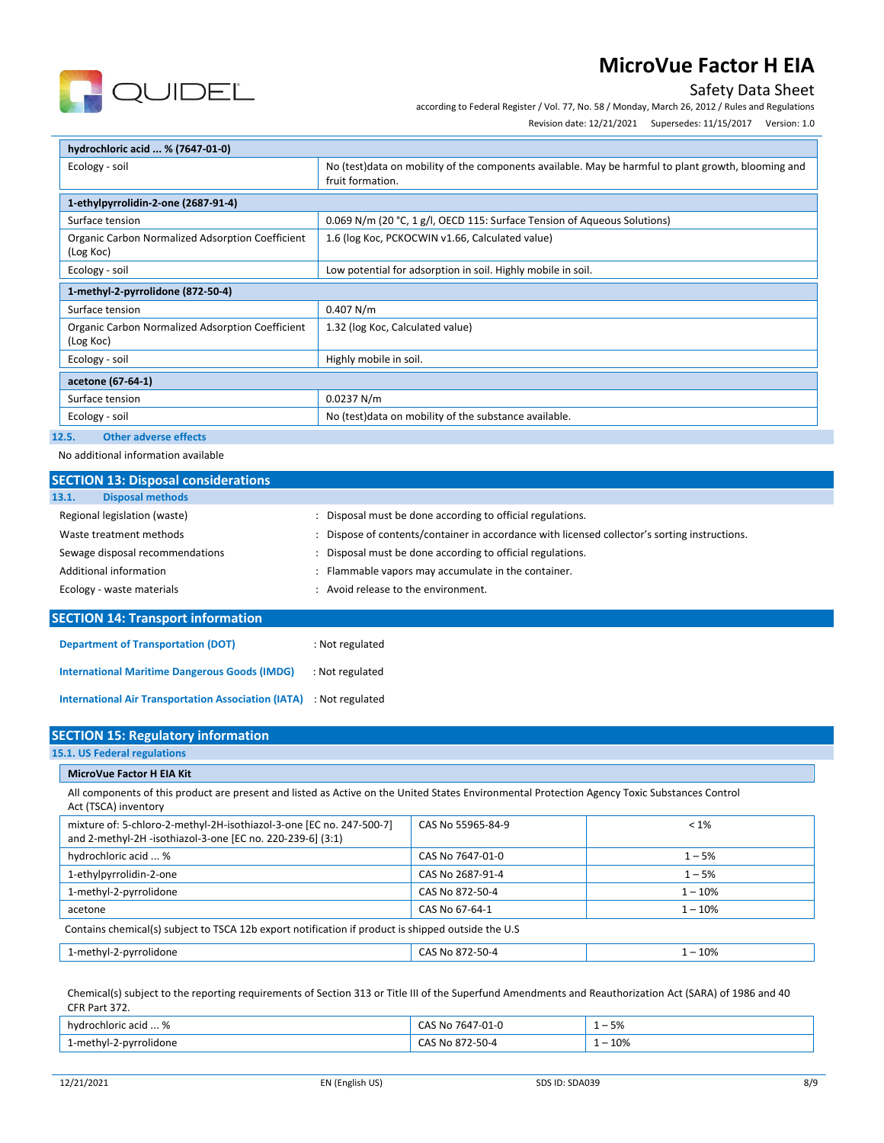

Safety Data Sheet

according to Federal Register / Vol. 77, No. 58 / Monday, March 26, 2012 / Rules and Regulations

Revision date: 12/21/2021 Supersedes: 11/15/2017 Version: 1.0

| hydrochloric acid  % (7647-01-0)                              |                                                                                                                         |
|---------------------------------------------------------------|-------------------------------------------------------------------------------------------------------------------------|
| Ecology - soil                                                | No (test)data on mobility of the components available. May be harmful to plant growth, blooming and<br>fruit formation. |
| 1-ethylpyrrolidin-2-one (2687-91-4)                           |                                                                                                                         |
| Surface tension                                               | 0.069 N/m (20 °C, 1 g/l, OECD 115: Surface Tension of Aqueous Solutions)                                                |
| Organic Carbon Normalized Adsorption Coefficient<br>(Log Koc) | 1.6 (log Koc, PCKOCWIN v1.66, Calculated value)                                                                         |
| Ecology - soil                                                | Low potential for adsorption in soil. Highly mobile in soil.                                                            |
| 1-methyl-2-pyrrolidone (872-50-4)                             |                                                                                                                         |
| Surface tension                                               | 0.407 N/m                                                                                                               |
| Organic Carbon Normalized Adsorption Coefficient<br>(Log Koc) | 1.32 (log Koc, Calculated value)                                                                                        |
| Ecology - soil                                                | Highly mobile in soil.                                                                                                  |
| acetone (67-64-1)                                             |                                                                                                                         |
| Surface tension                                               | 0.0237 N/m                                                                                                              |
| Ecology - soil                                                | No (test) data on mobility of the substance available.                                                                  |

### **12.5. Other adverse effects**

No additional information available

| <b>SECTION 13: Disposal considerations</b>                 |                                                                                               |
|------------------------------------------------------------|-----------------------------------------------------------------------------------------------|
| <b>Disposal methods</b><br>13.1.                           |                                                                                               |
| Regional legislation (waste)                               | : Disposal must be done according to official regulations.                                    |
| Waste treatment methods                                    | : Dispose of contents/container in accordance with licensed collector's sorting instructions. |
| Sewage disposal recommendations                            | : Disposal must be done according to official regulations.                                    |
| Additional information                                     | Flammable vapors may accumulate in the container.                                             |
| Ecology - waste materials                                  | Avoid release to the environment.                                                             |
| <b>SECTION 14: Transport information</b>                   |                                                                                               |
| <b>Department of Transportation (DOT)</b>                  | : Not regulated                                                                               |
| <b>International Maritime Dangerous Goods (IMDG)</b>       | : Not regulated                                                                               |
| <b>International Air Transportation Association (IATA)</b> | : Not regulated                                                                               |

| <b>SECTION 15: Regulatory information</b>                                                                                                                             |                   |           |
|-----------------------------------------------------------------------------------------------------------------------------------------------------------------------|-------------------|-----------|
| 15.1. US Federal regulations                                                                                                                                          |                   |           |
| <b>MicroVue Factor H EIA Kit</b>                                                                                                                                      |                   |           |
| All components of this product are present and listed as Active on the United States Environmental Protection Agency Toxic Substances Control<br>Act (TSCA) inventory |                   |           |
| mixture of: 5-chloro-2-methyl-2H-isothiazol-3-one [EC no. 247-500-7]<br>and 2-methyl-2H -isothiazol-3-one [EC no. 220-239-6] (3:1)                                    | CAS No 55965-84-9 | $< 1\%$   |
| hydrochloric acid  %                                                                                                                                                  | CAS No 7647-01-0  | $1 - 5%$  |
| 1-ethylpyrrolidin-2-one                                                                                                                                               | CAS No 2687-91-4  | $1 - 5%$  |
| 1-methyl-2-pyrrolidone                                                                                                                                                | CAS No 872-50-4   | $1 - 10%$ |
| acetone                                                                                                                                                               | CAS No 67-64-1    | $1 - 10%$ |
| Contains chemical(s) subject to TSCA 12b export notification if product is shipped outside the U.S                                                                    |                   |           |
| 1-methyl-2-pyrrolidone                                                                                                                                                | CAS No 872-50-4   | $1 - 10%$ |

Chemical(s) subject to the reporting requirements of Section 313 or Title III of the Superfund Amendments and Reauthorization Act (SARA) of 1986 and 40 CFR Part 372.

| hydrochloric acid  %          | -01-0<br>$\overline{\phantom{a}}$<br>، No<br>7647-<br>. AN       | $F^{\alpha}$<br>$\overline{\phantom{0}}$<br>- 576 |
|-------------------------------|------------------------------------------------------------------|---------------------------------------------------|
| -methyl-<br>-pyrrolidone<br>. | ג-∩5∩.<br>Nr<br>$\sim$ $\sim$ $\sim$ $\sim$ $\sim$ $\sim$ $\sim$ | 10%<br>$\overline{\phantom{0}}$                   |